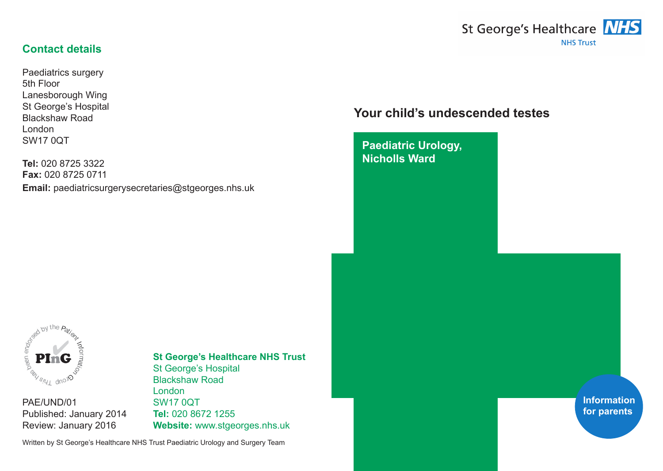# St George's Healthcare **NHS NHS Trust**

## **Contact details**

Paediatrics surgery 5th Floor Lanesborough Wing St George's Hospital Blackshaw Road London SW17 0QT

**Tel:** 020 8725 3322 **Fax:** 020 8725 0711 **Email:** paediatricsurgerysecretaries@stgeorges.nhs.uk

## **Your child's undescended testes**

**Paediatric Urology, Nicholls Ward**



PAE/UND/01 Published: January 2014 Review: January 2016

#### **St George's Healthcare NHS Trust** St George's Hospital Blackshaw Road London SW17 0QT

**Tel:** 020 8672 1255 **Website:** www.stgeorges.nhs.uk

Written by St George's Healthcare NHS Trust Paediatric Urology and Surgery Team

**Information for parents**